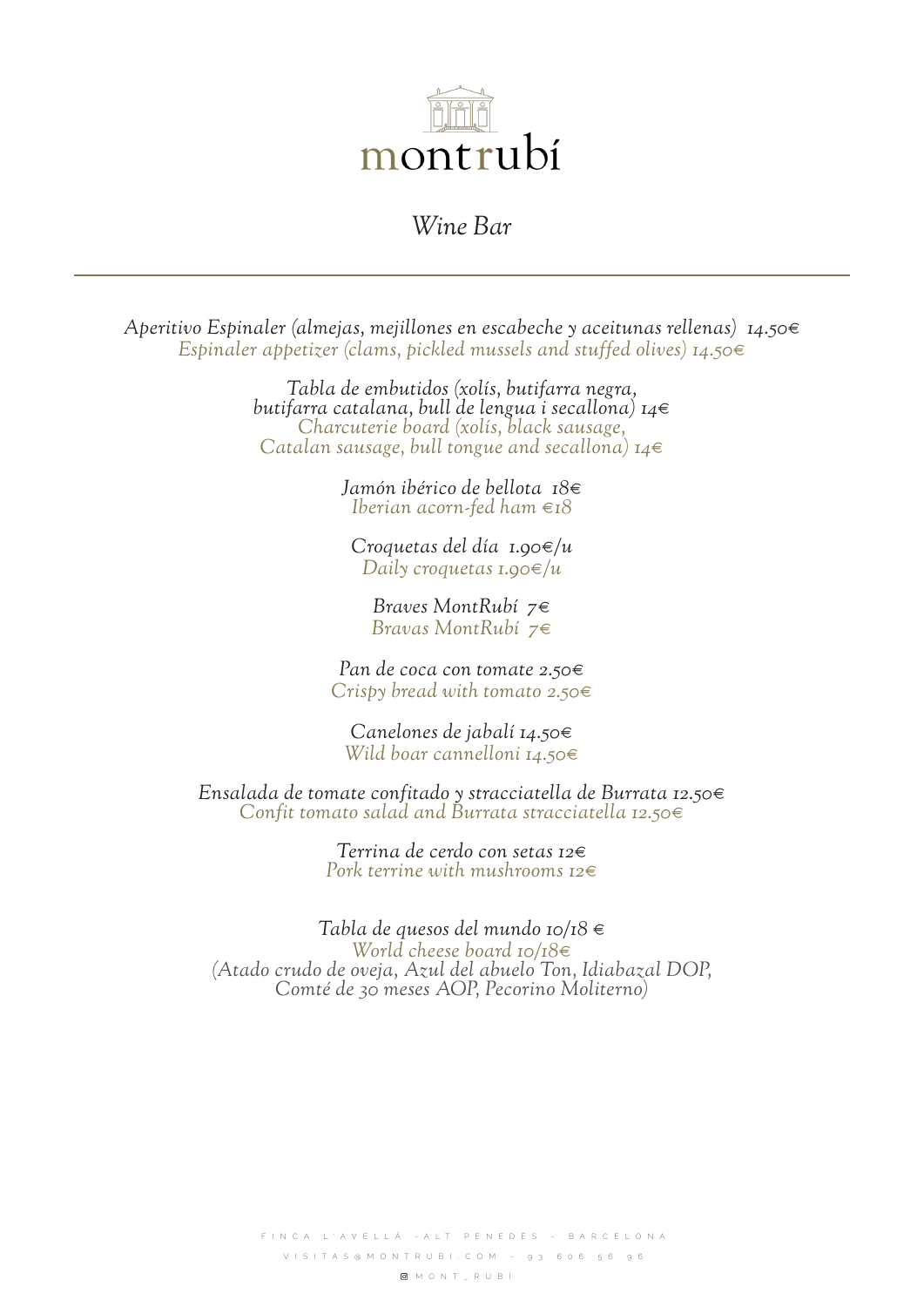

## *Wine Bar*

*Aperitivo Espinaler (almejas, mejillones en escabeche y aceitunas rellenas) 14.50€ Espinaler appetizer (clams, pickled mussels and stuffed olives) 14.50€*

*Tabla de embutidos (xolís, butifarra negra, butifarra catalana, bull de lengua i secallona) 14€ Charcuterie board (xolís, black sausage, Catalan sausage, bull tongue and secallona) 14€*

*Jamón ibérico de bellota 18€ Iberian acorn-fed ham €18*

*Croquetas del día 1.90€/u Daily croquetas 1.90€/u*

*Braves MontRubí 7€ Bravas MontRubí 7€*

*Pan de coca con tomate 2.50€ Crispy bread with tomato 2.50€*

*Canelones de jabalí 14.50€ Wild boar cannelloni 14.50€*

*Ensalada de tomate confitado y stracciatella de Burrata 12.50€ Confit tomato salad and Burrata stracciatella 12.50€*

> *Terrina de cerdo con setas 12€ Pork terrine with mushrooms 12€*

*Tabla de quesos del mundo 10/18 € World cheese board 10/18€ (Atado crudo de oveja, Azul del abuelo Ton, Idiabazal DOP, Comté de 30 meses AOP, Pecorino Moliterno)*

FINCA L'AVELLÂ -ALT PENEDÈS - BARCELONA VISITAS@MONTRUBI.COM - 93 606 56 96 MONT\_RUBÍ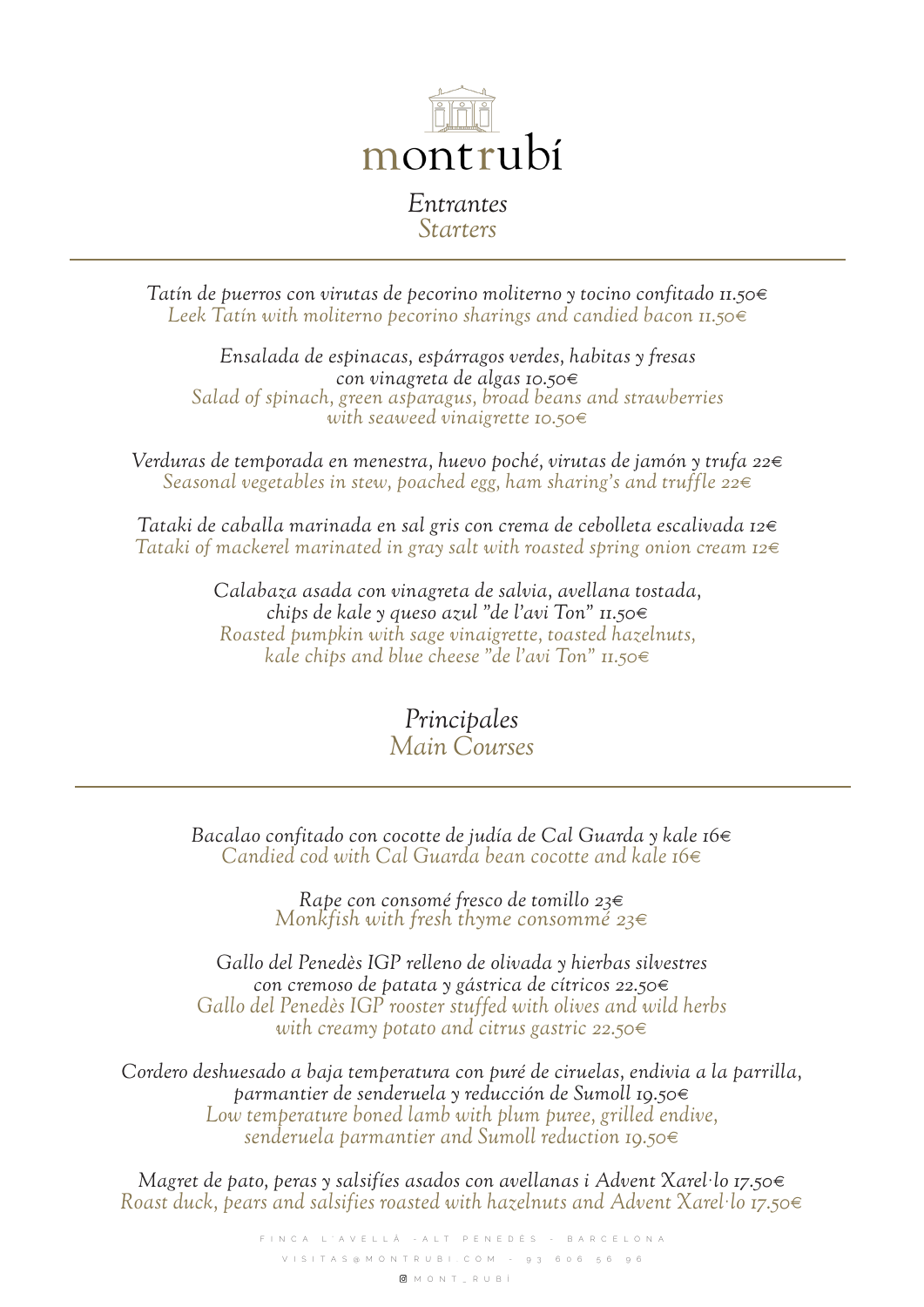

*Tatín de puerros con virutas de pecorino moliterno y tocino confitado 11.50€ Leek Tatín with moliterno pecorino sharings and candied bacon 11.50€*

*Ensalada de espinacas, espárragos verdes, habitas y fresas con vinagreta de algas 10.50€ Salad of spinach, green asparagus, broad beans and strawberries with seaweed vinaigrette 10.50€*

*Verduras de temporada en menestra, huevo poché, virutas de jamón y trufa 22€ Seasonal vegetables in stew, poached egg, ham sharing's and truffle 22€* 

*Tataki de caballa marinada en sal gris con crema de cebolleta escalivada 12€ Tataki of mackerel marinated in gray salt with roasted spring onion cream 12€*

> *Calabaza asada con vinagreta de salvia, avellana tostada, chips de kale y queso azul "de l'avi Ton" 11.50€ Roasted pumpkin with sage vinaigrette, toasted hazelnuts, kale chips and blue cheese "de l'avi Ton" 11.50€*

> > *Principales Main Courses*

*Bacalao confitado con cocotte de judía de Cal Guarda y kale 16€ Candied cod with Cal Guarda bean cocotte and kale 16€*

*Rape con consomé fresco de tomillo 23€ Monkfish with fresh thyme consommé 23€*

*Gallo del Penedès IGP relleno de olivada y hierbas silvestres con cremoso de patata y gástrica de cítricos 22.50€ Gallo del Penedès IGP rooster stuffed with olives and wild herbs with creamy potato and citrus gastric 22.50€*

*Cordero deshuesado a baja temperatura con puré de ciruelas, endivia a la parrilla, parmantier de senderuela y reducción de Sumoll 19.50€ Low temperature boned lamb with plum puree, grilled endive, senderuela parmantier and Sumoll reduction 19.50€*

*Magret de pato, peras y salsifíes asados con avellanas i Advent Xarel·lo 17.50€ Roast duck, pears and salsifies roasted with hazelnuts and Advent Xarel·lo 17.50€*

> FINCA L'AVELLÂ -ALT PENEDÈS - BARCELONA VISITAS@MONTRUBI.COM - 93 606 56 96 MONT\_RUBÍ